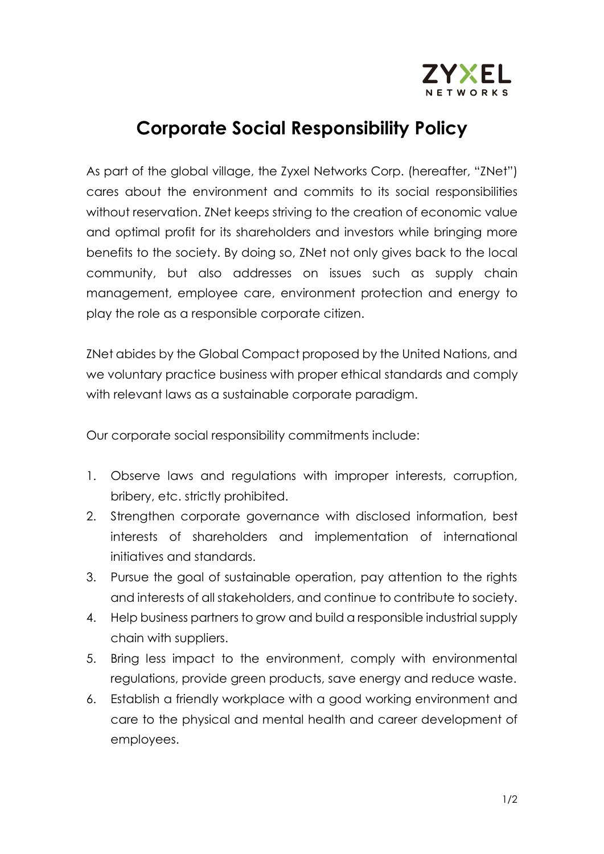

## **Corporate Social Responsibility Policy**

As part of the global village, the Zyxel Networks Corp. (hereafter, "ZNet") cares about the environment and commits to its social responsibilities without reservation. ZNet keeps striving to the creation of economic value and optimal profit for its shareholders and investors while bringing more benefits to the society. By doing so, ZNet not only gives back to the local community, but also addresses on issues such as supply chain management, employee care, environment protection and energy to play the role as a responsible corporate citizen.

ZNet abides by the Global Compact proposed by the United Nations, and we voluntary practice business with proper ethical standards and comply with relevant laws as a sustainable corporate paradigm.

Our corporate social responsibility commitments include:

- 1. Observe laws and regulations with improper interests, corruption, bribery, etc. strictly prohibited.
- 2. Strengthen corporate governance with disclosed information, best interests of shareholders and implementation of international initiatives and standards.
- 3. Pursue the goal of sustainable operation, pay attention to the rights and interests of all stakeholders, and continue to contribute to society.
- 4. Help business partners to grow and build a responsible industrial supply chain with suppliers.
- 5. Bring less impact to the environment, comply with environmental regulations, provide green products, save energy and reduce waste.
- 6. Establish a friendly workplace with a good working environment and care to the physical and mental health and career development of employees.